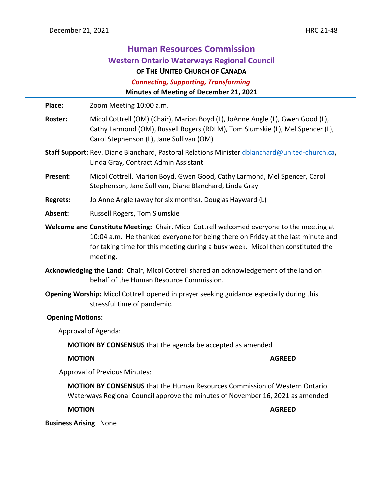L,

| <b>Human Resources Commission</b><br><b>Western Ontario Waterways Regional Council</b><br>OF THE UNITED CHURCH OF CANADA<br><b>Connecting, Supporting, Transforming</b><br>Minutes of Meeting of December 21, 2021                                                          |                                                                                                                                                                                                             |
|-----------------------------------------------------------------------------------------------------------------------------------------------------------------------------------------------------------------------------------------------------------------------------|-------------------------------------------------------------------------------------------------------------------------------------------------------------------------------------------------------------|
| Place:                                                                                                                                                                                                                                                                      | Zoom Meeting 10:00 a.m.                                                                                                                                                                                     |
| <b>Roster:</b>                                                                                                                                                                                                                                                              | Micol Cottrell (OM) (Chair), Marion Boyd (L), JoAnne Angle (L), Gwen Good (L),<br>Cathy Larmond (OM), Russell Rogers (RDLM), Tom Slumskie (L), Mel Spencer (L),<br>Carol Stephenson (L), Jane Sullivan (OM) |
| Staff Support: Rev. Diane Blanchard, Pastoral Relations Minister dblanchard@united-church.ca,<br>Linda Gray, Contract Admin Assistant                                                                                                                                       |                                                                                                                                                                                                             |
| Present:                                                                                                                                                                                                                                                                    | Micol Cottrell, Marion Boyd, Gwen Good, Cathy Larmond, Mel Spencer, Carol<br>Stephenson, Jane Sullivan, Diane Blanchard, Linda Gray                                                                         |
| <b>Regrets:</b>                                                                                                                                                                                                                                                             | Jo Anne Angle (away for six months), Douglas Hayward (L)                                                                                                                                                    |
| Absent:                                                                                                                                                                                                                                                                     | Russell Rogers, Tom Slumskie                                                                                                                                                                                |
| Welcome and Constitute Meeting: Chair, Micol Cottrell welcomed everyone to the meeting at<br>10:04 a.m. He thanked everyone for being there on Friday at the last minute and<br>for taking time for this meeting during a busy week. Micol then constituted the<br>meeting. |                                                                                                                                                                                                             |
|                                                                                                                                                                                                                                                                             | Acknowledging the Land: Chair, Micol Cottrell shared an acknowledgement of the land on<br>behalf of the Human Resource Commission.                                                                          |
| Opening Worship: Micol Cottrell opened in prayer seeking guidance especially during this<br>stressful time of pandemic.                                                                                                                                                     |                                                                                                                                                                                                             |
| <b>Opening Motions:</b>                                                                                                                                                                                                                                                     |                                                                                                                                                                                                             |
| Approval of Agenda:                                                                                                                                                                                                                                                         |                                                                                                                                                                                                             |
| <b>MOTION BY CONSENSUS</b> that the agenda be accepted as amended                                                                                                                                                                                                           |                                                                                                                                                                                                             |
| <b>MOTION</b>                                                                                                                                                                                                                                                               | <b>AGREED</b>                                                                                                                                                                                               |
| <b>Approval of Previous Minutes:</b>                                                                                                                                                                                                                                        |                                                                                                                                                                                                             |
| <b>MOTION BY CONSENSUS</b> that the Human Resources Commission of Western Ontario<br>Waterways Regional Council approve the minutes of November 16, 2021 as amended                                                                                                         |                                                                                                                                                                                                             |
| <b>MOTION</b>                                                                                                                                                                                                                                                               | <b>AGREED</b>                                                                                                                                                                                               |
| <b>Business Arising None</b>                                                                                                                                                                                                                                                |                                                                                                                                                                                                             |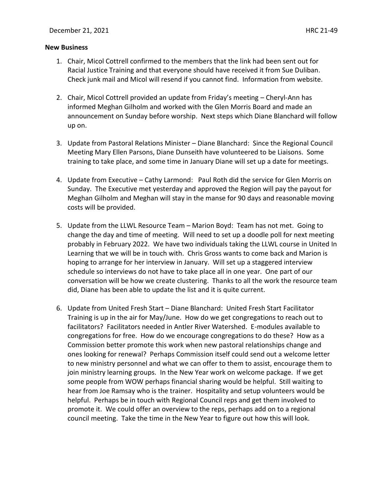#### **New Business**

- 1. Chair, Micol Cottrell confirmed to the members that the link had been sent out for Racial Justice Training and that everyone should have received it from Sue Duliban. Check junk mail and Micol will resend if you cannot find. Information from website.
- 2. Chair, Micol Cottrell provided an update from Friday's meeting Cheryl-Ann has informed Meghan Gilholm and worked with the Glen Morris Board and made an announcement on Sunday before worship. Next steps which Diane Blanchard will follow up on.
- 3. Update from Pastoral Relations Minister Diane Blanchard: Since the Regional Council Meeting Mary Ellen Parsons, Diane Dunseith have volunteered to be Liaisons. Some training to take place, and some time in January Diane will set up a date for meetings.
- 4. Update from Executive Cathy Larmond: Paul Roth did the service for Glen Morris on Sunday. The Executive met yesterday and approved the Region will pay the payout for Meghan Gilholm and Meghan will stay in the manse for 90 days and reasonable moving costs will be provided.
- 5. Update from the LLWL Resource Team Marion Boyd: Team has not met. Going to change the day and time of meeting. Will need to set up a doodle poll for next meeting probably in February 2022. We have two individuals taking the LLWL course in United In Learning that we will be in touch with. Chris Gross wants to come back and Marion is hoping to arrange for her interview in January. Will set up a staggered interview schedule so interviews do not have to take place all in one year. One part of our conversation will be how we create clustering. Thanks to all the work the resource team did, Diane has been able to update the list and it is quite current.
- 6. Update from United Fresh Start Diane Blanchard: United Fresh Start Facilitator Training is up in the air for May/June. How do we get congregations to reach out to facilitators? Facilitators needed in Antler River Watershed. E-modules available to congregations for free. How do we encourage congregations to do these? How as a Commission better promote this work when new pastoral relationships change and ones looking for renewal? Perhaps Commission itself could send out a welcome letter to new ministry personnel and what we can offer to them to assist, encourage them to join ministry learning groups. In the New Year work on welcome package. If we get some people from WOW perhaps financial sharing would be helpful. Still waiting to hear from Joe Ramsay who is the trainer. Hospitality and setup volunteers would be helpful. Perhaps be in touch with Regional Council reps and get them involved to promote it. We could offer an overview to the reps, perhaps add on to a regional council meeting. Take the time in the New Year to figure out how this will look.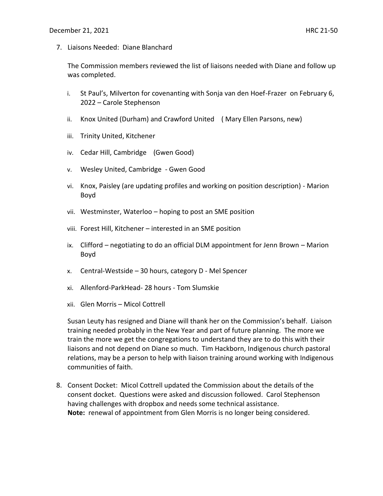7. Liaisons Needed: Diane Blanchard

The Commission members reviewed the list of liaisons needed with Diane and follow up was completed.

- i. St Paul's, Milverton for covenanting with Sonja van den Hoef-Frazer on February 6, 2022 – Carole Stephenson
- ii. Knox United (Durham) and Crawford United  ( Mary Ellen Parsons, new)
- iii. Trinity United, Kitchener
- iv. Cedar Hill, Cambridge  (Gwen Good)
- v. Wesley United, Cambridge Gwen Good
- vi. Knox, Paisley (are updating profiles and working on position description) Marion Boyd
- vii. Westminster, Waterloo hoping to post an SME position
- viii. Forest Hill, Kitchener interested in an SME position
- ix. Clifford negotiating to do an official DLM appointment for Jenn Brown Marion Boyd
- x. Central-Westside 30 hours, category D Mel Spencer
- xi. Allenford-ParkHead- 28 hours Tom Slumskie
- xii. Glen Morris Micol Cottrell

Susan Leuty has resigned and Diane will thank her on the Commission's behalf. Liaison training needed probably in the New Year and part of future planning. The more we train the more we get the congregations to understand they are to do this with their liaisons and not depend on Diane so much. Tim Hackborn, Indigenous church pastoral relations, may be a person to help with liaison training around working with Indigenous communities of faith.

8. Consent Docket: Micol Cottrell updated the Commission about the details of the consent docket. Questions were asked and discussion followed. Carol Stephenson having challenges with dropbox and needs some technical assistance. **Note:** renewal of appointment from Glen Morris is no longer being considered.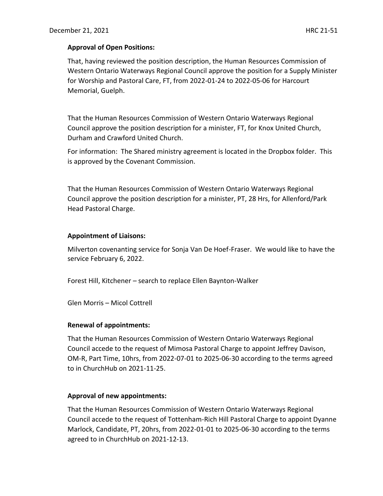## **Approval of Open Positions:**

That, having reviewed the position description, the Human Resources Commission of Western Ontario Waterways Regional Council approve the position for a Supply Minister for Worship and Pastoral Care, FT, from 2022-01-24 to 2022-05-06 for Harcourt Memorial, Guelph.

That the Human Resources Commission of Western Ontario Waterways Regional Council approve the position description for a minister, FT, for Knox United Church, Durham and Crawford United Church.

For information: The Shared ministry agreement is located in the Dropbox folder. This is approved by the Covenant Commission.

That the Human Resources Commission of Western Ontario Waterways Regional Council approve the position description for a minister, PT, 28 Hrs, for Allenford/Park Head Pastoral Charge.

### **Appointment of Liaisons:**

Milverton covenanting service for Sonja Van De Hoef-Fraser. We would like to have the service February 6, 2022.

Forest Hill, Kitchener – search to replace Ellen Baynton-Walker

Glen Morris – Micol Cottrell

### **Renewal of appointments:**

That the Human Resources Commission of Western Ontario Waterways Regional Council accede to the request of Mimosa Pastoral Charge to appoint Jeffrey Davison, OM-R, Part Time, 10hrs, from 2022-07-01 to 2025-06-30 according to the terms agreed to in ChurchHub on 2021-11-25.

### **Approval of new appointments:**

That the Human Resources Commission of Western Ontario Waterways Regional Council accede to the request of Tottenham-Rich Hill Pastoral Charge to appoint Dyanne Marlock, Candidate, PT, 20hrs, from 2022-01-01 to 2025-06-30 according to the terms agreed to in ChurchHub on 2021-12-13.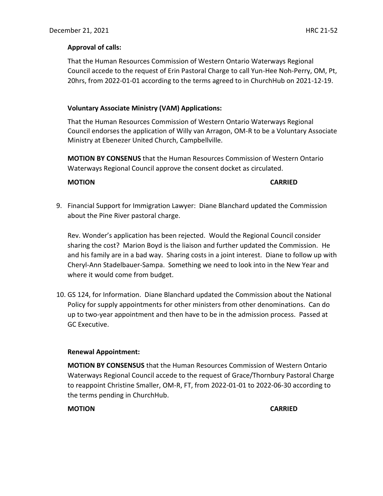# **Approval of calls:**

That the Human Resources Commission of Western Ontario Waterways Regional Council accede to the request of Erin Pastoral Charge to call Yun-Hee Noh-Perry, OM, Pt, 20hrs, from 2022-01-01 according to the terms agreed to in ChurchHub on 2021-12-19.

## **Voluntary Associate Ministry (VAM) Applications:**

That the Human Resources Commission of Western Ontario Waterways Regional Council endorses the application of Willy van Arragon, OM-R to be a Voluntary Associate Ministry at Ebenezer United Church, Campbellville.

**MOTION BY CONSENUS** that the Human Resources Commission of Western Ontario Waterways Regional Council approve the consent docket as circulated.

# **MOTION CARRIED**

9. Financial Support for Immigration Lawyer: Diane Blanchard updated the Commission about the Pine River pastoral charge.

Rev. Wonder's application has been rejected. Would the Regional Council consider sharing the cost? Marion Boyd is the liaison and further updated the Commission. He and his family are in a bad way. Sharing costs in a joint interest. Diane to follow up with Cheryl-Ann Stadelbauer-Sampa. Something we need to look into in the New Year and where it would come from budget.

10. GS 124, for Information. Diane Blanchard updated the Commission about the National Policy for supply appointments for other ministers from other denominations. Can do up to two-year appointment and then have to be in the admission process. Passed at GC Executive.

# **Renewal Appointment:**

**MOTION BY CONSENSUS** that the Human Resources Commission of Western Ontario Waterways Regional Council accede to the request of Grace/Thornbury Pastoral Charge to reappoint Christine Smaller, OM-R, FT, from 2022-01-01 to 2022-06-30 according to the terms pending in ChurchHub.

**MOTION CARRIED**